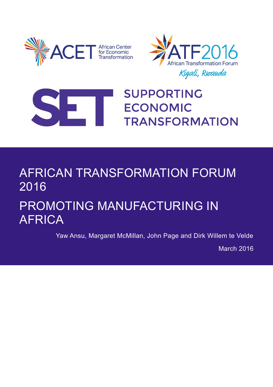





## **SUPPORTING ECONOMIC TRANSFORMATION**

# AFRICAN TRANSFORMATION FORUM 2016

## PROMOTING MANUFACTURING IN AFRICA

Yaw Ansu, Margaret McMillan, John Page and Dirk Willem te Velde

March 2016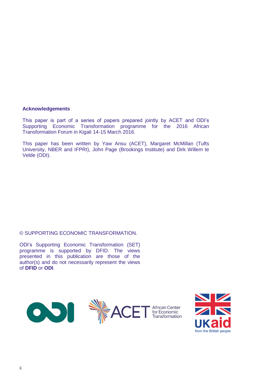#### **Acknowledgements**

This paper is part of a series of papers prepared jointly by ACET and ODI's Supporting Economic Transformation programme for the 2016 African Transformation Forum in Kigali 14-15 March 2016.

This paper has been written by Yaw Ansu (ACET), Margaret McMillan (Tufts University, NBER and IFPRI), John Page (Brookings Institute) and Dirk Willem te Velde (ODI).

#### © SUPPORTING ECONOMIC TRANSFORMATION.

ODI's Supporting Economic Transformation (SET) programme is supported by DFID. The views presented in this publication are those of the author(s) and do not necessarily represent the views of **DFID** or **ODI**.



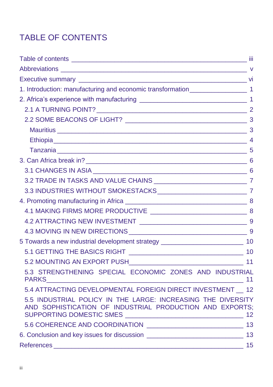## TABLE OF CONTENTS

| 1. Introduction: manufacturing and economic transformation______________________ 1                                       |       |
|--------------------------------------------------------------------------------------------------------------------------|-------|
|                                                                                                                          |       |
|                                                                                                                          |       |
|                                                                                                                          |       |
|                                                                                                                          |       |
|                                                                                                                          |       |
|                                                                                                                          |       |
|                                                                                                                          |       |
|                                                                                                                          |       |
|                                                                                                                          |       |
|                                                                                                                          |       |
|                                                                                                                          |       |
|                                                                                                                          |       |
|                                                                                                                          |       |
|                                                                                                                          |       |
| 5 Towards a new industrial development strategy ________________________________ 10                                      |       |
|                                                                                                                          |       |
|                                                                                                                          |       |
| 5.3 STRENGTHENING SPECIAL ECONOMIC ZONES AND INDUSTRIAL                                                                  |       |
| 5.4 ATTRACTING DEVELOPMENTAL FOREIGN DIRECT INVESTMENT 12                                                                |       |
| 5.5 INDUSTRIAL POLICY IN THE LARGE: INCREASING THE DIVERSITY<br>AND SOPHISTICATION OF INDUSTRIAL PRODUCTION AND EXPORTS; |       |
|                                                                                                                          |       |
|                                                                                                                          |       |
| References                                                                                                               | $-15$ |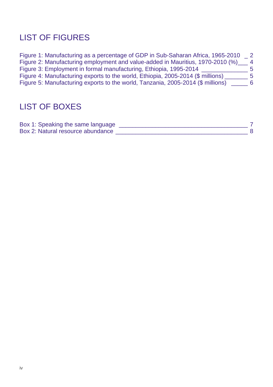## LIST OF FIGURES

| Figure 1: Manufacturing as a percentage of GDP in Sub-Saharan Africa, 1965-2010 | $\overline{\phantom{0}}^2$ |
|---------------------------------------------------------------------------------|----------------------------|
| Figure 2: Manufacturing employment and value-added in Mauritius, 1970-2010 (%)  | $\overline{4}$             |
| Figure 3: Employment in formal manufacturing, Ethiopia, 1995-2014               | $\mathbf{b}$               |
| Figure 4: Manufacturing exports to the world, Ethiopia, 2005-2014 (\$ millions) | -5                         |
| Figure 5: Manufacturing exports to the world, Tanzania, 2005-2014 (\$ millions) | 6                          |

## LIST OF BOXES

| Box 1: Speaking the same language |  |
|-----------------------------------|--|
| Box 2: Natural resource abundance |  |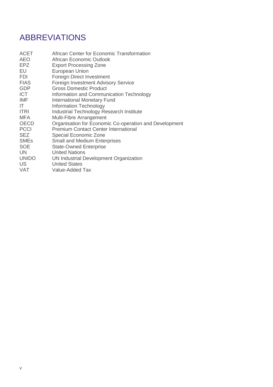## ABBREVIATIONS

| African Center for Economic Transformation             |
|--------------------------------------------------------|
| African Economic Outlook                               |
| <b>Export Processing Zone</b>                          |
| European Union                                         |
| Foreign Direct Investment                              |
| <b>Foreign Investment Advisory Service</b>             |
| <b>Gross Domestic Product</b>                          |
| Information and Communication Technology               |
| <b>International Monetary Fund</b>                     |
| <b>Information Technology</b>                          |
| <b>Industrial Technology Research Institute</b>        |
| Multi-Fibre Arrangement                                |
| Organisation for Economic Co-operation and Development |
| <b>Premium Contact Center International</b>            |
| Special Economic Zone                                  |
| <b>Small and Medium Enterprises</b>                    |
| <b>State-Owned Enterprise</b>                          |
| <b>United Nations</b>                                  |
| UN Industrial Development Organization                 |
| <b>United States</b>                                   |
| Value-Added Tax                                        |
|                                                        |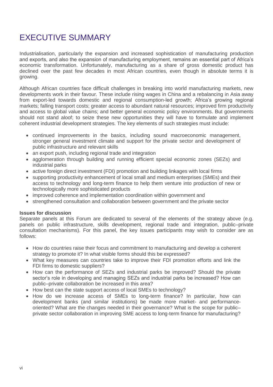## EXECUTIVE SUMMARY

Industrialisation, particularly the expansion and increased sophistication of manufacturing production and exports, and also the expansion of manufacturing employment, remains an essential part of Africa's economic transformation. Unfortunately, manufacturing as a share of gross domestic product has declined over the past few decades in most African countries, even though in absolute terms it is growing.

Although African countries face difficult challenges in breaking into world manufacturing markets, new developments work in their favour. These include rising wages in China and a rebalancing in Asia away from export-led towards domestic and regional consumption-led growth; Africa's growing regional markets; falling transport costs; greater access to abundant natural resources; improved firm productivity and access to global value chains; and better general economic policy environments. But governments should not stand aloof; to seize these new opportunities they will have to formulate and implement coherent industrial development strategies. The key elements of such strategies must include:

- continued improvements in the basics, including sound macroeconomic management, stronger general investment climate and support for the private sector and development of public infrastructure and relevant skills
- an export push, including regional trade and integration
- agglomeration through building and running efficient special economic zones (SEZs) and industrial parks
- active foreign direct investment (FDI) promotion and building linkages with local firms
- supporting productivity enhancement of local small and medium enterprises (SMEs) and their access to technology and long-term finance to help them venture into production of new or technologically more sophisticated products
- improved coherence and implementation coordination within government and
- strengthened consultation and collaboration between government and the private sector

#### **Issues for discussion**

Separate panels at this Forum are dedicated to several of the elements of the strategy above (e.g. panels on public infrastructure, skills development, regional trade and integration, public–private consultation mechanisms). For this panel, the key issues participants may wish to consider are as follows:

- How do countries raise their focus and commitment to manufacturing and develop a coherent strategy to promote it? In what visible forms should this be expressed?
- What key measures can countries take to improve their FDI promotion efforts and link the FDI firms to domestic suppliers?
- How can the performance of SEZs and industrial parks be improved? Should the private sector's role in developing and managing SEZs and industrial parks be increased? How can public–private collaboration be increased in this area?
- How best can the state support access of local SMEs to technology?
- How do we increase access of SMEs to long-term finance? In particular, how can development banks (and similar institutions) be made more market- and performanceoriented? What are the changes needed in their governance? What is the scope for public– private sector collaboration in improving SME access to long-term finance for manufacturing?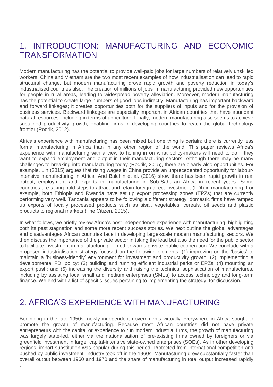## 1. INTRODUCTION: MANUFACTURING AND ECONOMIC **TRANSFORMATION**

Modern manufacturing has the potential to provide well-paid jobs for large numbers of relatively unskilled workers. China and Vietnam are the two most recent examples of how industrialisation can lead to rapid structural change, but modern manufacturing drove rapid growth and poverty reduction in today's industrialised countries also. The creation of millions of jobs in manufacturing provided new opportunities for people in rural areas, leading to widespread poverty alleviation. Moreover, modern manufacturing has the potential to create large numbers of good jobs indirectly. Manufacturing has important backward and forward linkages; it creates opportunities both for the suppliers of inputs and for the provision of business services. Backward linkages are especially important in African countries that have abundant natural resources, including in terms of agriculture. Finally, modern manufacturing also seems to achieve sustained productivity growth, enabling firms in developing countries to reach the global technology frontier (Rodrik, 2012).

Africa's experience with manufacturing has been mixed but one thing is certain: there is currently less formal manufacturing in Africa than in any other region of the world. This paper reviews Africa's experience with manufacturing with a view to honing in on what policy-makers will need to do if they want to expand employment and output in their manufacturing sectors. Although there may be many challenges to breaking into manufacturing today (Rodrik, 2015), there are clearly also opportunities. For example, Lin (2015) argues that rising wages in China provide an unprecedented opportunity for labourintensive manufacturing in Africa. And Balchin et al. (2016) show there has been rapid growth in real output, employment and exports in manufacturing in Sub-Saharan Africa in recent years. Some countries are taking bold steps to attract and retain foreign direct investment (FDI) in manufacturing. For example, both Ethiopia and Rwanda have set up export processing zones (EPZs) that are currently performing very well. Tanzania appears to be following a different strategy: domestic firms have ramped up exports of locally processed products such as sisal, vegetables, cereals, oil seeds and plastic products to regional markets (The Citizen, 2015).

In what follows, we briefly review Africa's post-independence experience with manufacturing, highlighting both its past stagnation and some more recent success stories. We next outline the global advantages and disadvantages African countries face in developing large-scale modern manufacturing sectors. We then discuss the importance of the private sector in taking the lead but also the need for the public sector to facilitate investment in manufacturing – in other words private–public cooperation. We conclude with a proposed industrialisation strategy focused on the following elements: (1) improving on the 'basics' to maintain a 'business-friendly' environment for investment and productivity growth; (2) implementing a developmental FDI policy; (3) building and running efficient industrial parks or EPZs; (4) mounting an export push; and (5) increasing the diversity and raising the technical sophistication of manufactures, including by assisting local small and medium enterprises (SMEs) to access technology and long-term finance. We end with a list of specific issues pertaining to implementing the strategy, for discussion.

## 2. AFRICA'S EXPERIENCE WITH MANUFACTURING

Beginning in the late 1950s, newly independent governments virtually everywhere in Africa sought to promote the growth of manufacturing. Because most African countries did not have private entrepreneurs with the capital or experience to run modern industrial firms, the growth of manufacturing was largely state-led, either via the nationalisation of pre-existing firms owned by foreigners or via greenfield investment in large, capital-intensive state-owned enterprises (SOEs). As in other developing regions, import substitution was popular during this period. Protected from international competition and pushed by public investment, industry took off in the 1960s. Manufacturing grew substantially faster than overall output between 1960 and 1970 and the share of manufacturing in total output increased rapidly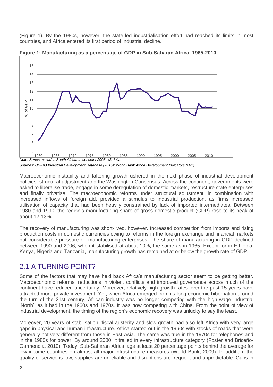(Figure 1). By the 1980s, however, the state-led industrialisation effort had reached its limits in most countries, and Africa entered its first period of industrial decline.



**Figure 1: Manufacturing as a percentage of GDP in Sub-Saharan Africa, 1965-2010**

*Note: Series excludes South Africa. In constant 2005 US dollars.*

*Sources: UNIDO Industrial Development Database (2015); World Bank Africa Development Indicators (201).*

Macroeconomic instability and faltering growth ushered in the next phase of industrial development policies, structural adjustment and the Washington Consensus. Across the continent, governments were asked to liberalise trade, engage in some deregulation of domestic markets, restructure state enterprises and finally privatise. The macroeconomic reforms under structural adjustment, in combination with increased inflows of foreign aid, provided a stimulus to industrial production, as firms increased utilisation of capacity that had been heavily constrained by lack of imported intermediates. Between 1980 and 1990, the region's manufacturing share of gross domestic product (GDP) rose to its peak of about 12-13%.

The recovery of manufacturing was short-lived, however. Increased competition from imports and rising production costs in domestic currencies owing to reforms in the foreign exchange and financial markets put considerable pressure on manufacturing enterprises. The share of manufacturing in GDP declined between 1990 and 2006, when it stabilised at about 10%, the same as in 1965. Except for in Ethiopia, Kenya, Nigeria and Tanzania, manufacturing growth has remained at or below the growth rate of GDP.

#### 2.1 A TURNING POINT?

Some of the factors that may have held back Africa's manufacturing sector seem to be getting better. Macroeconomic reforms, reductions in violent conflicts and improved governance across much of the continent have reduced uncertainty. Moreover, relatively high growth rates over the past 15 years have attracted more private investment. Yet, when Africa emerged from its long economic hibernation around the turn of the 21st century, African industry was no longer competing with the high-wage industrial 'North', as it had in the 1960s and 1970s. It was now competing with China. From the point of view of industrial development, the timing of the region's economic recovery was unlucky to say the least.

Moreover, 20 years of stabilisation, fiscal austerity and slow growth had also left Africa with very large gaps in physical and human infrastructure. Africa started out in the 1960s with stocks of roads that were generally not very different from those in East Asia. The same was true in the 1970s for telephones and in the 1980s for power. By around 2000, it trailed in every infrastructure category (Foster and Briceño-Garmendia, 2010). Today, Sub-Saharan Africa lags at least 20 percentage points behind the average for low-income countries on almost all major infrastructure measures (World Bank, 2009). In addition, the quality of service is low, supplies are unreliable and disruptions are frequent and unpredictable. Gaps in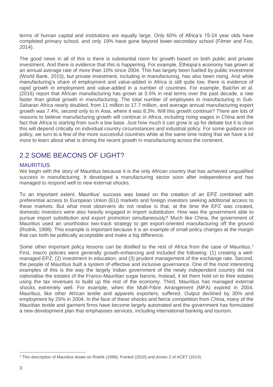terms of human capital and institutions are equally large. Only 60% of Africa's 15-24 year olds have completed primary school, and only 19% have gone beyond lower-secondary school (Filmer and Fox, 2014).

The good news in all of this is there is substantial room for growth based on both public and private investment. And there is evidence that this is happening. For example, Ethiopia's economy has grown at an annual average rate of more than 10% since 2004. This has largely been fuelled by public investment (World Bank, 2015), but private investment, including in manufacturing, has also been rising. And while manufacturing's *share* of employment and value-added in Africa is still quite low, there is evidence of rapid growth in employment and value-added in a number of countries. For example, Balchin et al. (2016) report that African manufacturing has grown at 3.5% in real terms over the past decade, a rate faster than global growth in manufacturing. The total number of employees in manufacturing in Sub-Saharan Africa nearly doubled, from 11 million to 17.7 million, and average annual manufacturing export growth was 7.4%, second only to in Asia, where it was 8.3%. Will this growth continue? There are lots of reasons to believe manufacturing growth will continue in Africa, including rising wages in China and the fact that Africa is starting from such a low base. Just how much it can grow is up for debate but it is clear this will depend critically on individual country circumstances and industrial policy. For some guidance on policy, we turn to a few of the more successful countries while at the same time noting that we have a lot more to learn about what is driving the recent growth in manufacturing across the continent.

### 2.2 SOME BEACONS OF LIGHT?

#### MAURITIUS

We begin with the story of Mauritius because it is the only African country that has achieved unqualified success in manufacturing. It developed a manufacturing sector soon after independence and has managed to respond well to new external shocks.

To an important extent, Mauritius' success was based on the creation of an EPZ combined with preferential access to European Union (EU) markets and foreign investors seeking additional access to these markets. But what most observers do not realise is that, at the time the EPZ was created, domestic investors were also heavily engaged in import substitution. How was the government able to pursue import substitution and export promotion simultaneously? Much like China, the government of Mauritius used an unorthodox two-track strategy to get export-oriented manufacturing off the ground (Rodrik, 1998). This example is important because it is an example of small policy changes at the margin that can both be politically acceptable and make a big difference.

Some other important policy lessons can be distilled to the rest of Africa from the case of Mauritius.<sup>1</sup> First, macro policies were generally growth-enhancing and included the following: (1) creating a wellmanaged EPZ; (2) investment in education; and (3) prudent management of the exchange rate. Second, the people of Mauritius built a system of effective and inclusive governance. One of the most interesting examples of this is the way the largely Indian government of the newly independent country did not nationalise the estates of the Franco-Mauritian sugar barons. Instead, it let them hold on to their estates using the tax revenues to build up the rest of the economy. Third, Mauritius has managed external shocks extremely well. For example, when the Multi-Fibre Arrangement (MFA) expired in 2004, Mauritius, like other African textile and apparels exporters, suffered. Output declined by 30% and employment by 25% in 2004. In the face of these shocks and fierce competition from China, many of the Mauritian textile and garment firms have become largely automated and the government has formulated a new development plan that emphasises services, including international banking and tourism.

 $\overline{a}$ <sup>1</sup> This description of Mauritius draws on Rodrik (1998), Frankel (2010) and Annex 2 of ACET (2014).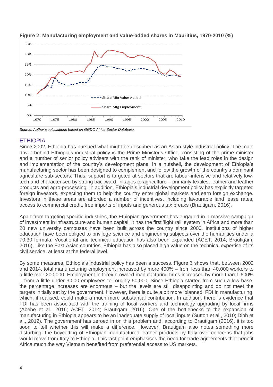

**Figure 2: Manufacturing employment and value-added shares in Mauritius, 1970-2010 (%)**

*Source: Author's calculations based on GGDC Africa Sector Database.*

#### ETHIOPIA

Since 2002, Ethiopia has pursued what might be described as an Asian style industrial policy. The main driver behind Ethiopia's industrial policy is the Prime Minister's Office, consisting of the prime minister and a number of senior policy advisers with the rank of minister, who take the lead roles in the design and implementation of the country's development plans. In a nutshell, the development of Ethiopia's manufacturing sector has been designed to complement and follow the growth of the country's dominant agriculture sub-sectors. Thus, support is targeted at sectors that are labour-intensive and relatively lowtech and characterised by strong backward linkages to agriculture – primarily textiles, leather and leather products and agro-processing. In addition, Ethiopia's industrial development policy has explicitly targeted foreign investors, expecting them to help the country enter global markets and earn foreign exchange. Investors in these areas are afforded a number of incentives, including favourable land lease rates, access to commercial credit, free imports of inputs and generous tax breaks (Brautigam, 2016).

Apart from targeting specific industries, the Ethiopian government has engaged in a massive campaign of investment in infrastructure and human capital. It has the first 'light rail' system in Africa and more than 20 new university campuses have been built across the country since 2000. Institutions of higher education have been obliged to privilege science and engineering subjects over the humanities under a 70:30 formula. Vocational and technical education has also been expanded (ACET, 2014; Brautigam, 2016). Like the East Asian countries, Ethiopia has also placed high value on the technical expertise of its civil service, at least at the federal level.

By some measures, Ethiopia's industrial policy has been a success. Figure 3 shows that, between 2002 and 2014, total manufacturing employment increased by more 400% – from less than 40,000 workers to a little over 200,000. Employment in foreign-owned manufacturing firms increased by more than 1,600% – from a little under 3,000 employees to roughly 50,000. Since Ethiopia started from such a low base, the percentage increases are enormous – but the levels are still disappointing and do not meet the targets initially set by the government. However, there is quite a bit more 'planned' FDI in manufacturing, which, if realised, could make a much more substantial contribution. In addition, there is evidence that FDI has been associated with the training of local workers and technology upgrading by local firms (Abebe et al., 2016; ACET, 2014; Brautigam, 2016). One of the bottlenecks to the expansion of manufacturing in Ethiopia appears to be an inadequate supply of local inputs (Sutton et al., 2010; Dinh et al., 2012). The government has zeroed in on this problem and, according to Brautigam (2016), it is too soon to tell whether this will make a difference. However, Brautigam also notes something more disturbing: the boycotting of Ethiopian manufactured leather products by Italy over concerns that jobs would move from Italy to Ethiopia. This last point emphasises the need for trade agreements that benefit Africa much the way Vietnam benefited from preferential access to US markets.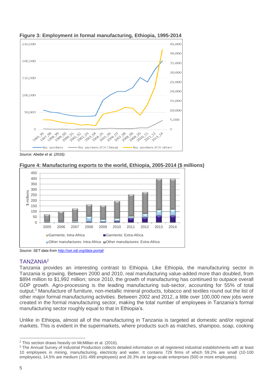

**Figure 3: Employment in formal manufacturing, Ethiopia, 1995-2014**

*Source: Abebe et al. (2016).*





*Source: SET data fro[m http://set.odi.org/data-portal/](http://set.odi.org/data-portal/)*

#### TANZANIA<sup>2</sup>

Tanzania provides an interesting contrast to Ethiopia. Like Ethiopia, the manufacturing sector in Tanzania is growing. Between 2000 and 2010, real manufacturing value-added more than doubled, from \$894 million to \$1,992 million; since 2010, the growth of manufacturing has continued to outpace overall GDP growth. Agro-processing is the leading manufacturing sub-sector, accounting for 55% of total output.<sup>3</sup> Manufacture of furniture, non-metallic mineral products, tobacco and textiles round out the list of other major formal manufacturing activities. Between 2002 and 2012, a little over 100,000 new jobs were created in the formal manufacturing sector, making the total number of employees in Tanzania's formal manufacturing sector roughly equal to that in Ethiopia's.

Unlike in Ethiopia, almost all of the manufacturing in Tanzania is targeted at domestic and/or regional markets. This is evident in the supermarkets, where products such as matches, shampoo, soap, cooking

 $\overline{a}$ <sup>2</sup> This section draws heavily on McMillan et al. (2016).

<sup>&</sup>lt;sup>3</sup> The Annual Survey of Industrial Production collects detailed information on all registered industrial establishments with at least 10 employees in mining, manufacturing, electricity and water. It contains 729 firms of which 59.2% are small (10-100 employees), 14.5% are medium (101-499 employees) and 26.3% are large-scale enterprises (500 or more employees).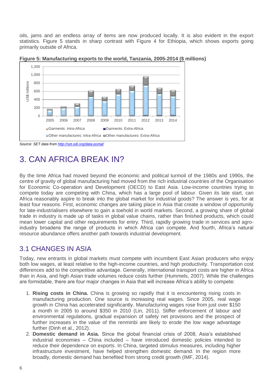oils, jams and an endless array of items are now produced locally. It is also evident in the export statistics. Figure 5 stands in sharp contrast with Figure 4 for Ethiopia, which shows exports going primarily outside of Africa.



**Figure 5: Manufacturing exports to the world, Tanzania, 2005-2014 (\$ millions)**

*Source: SET data fro[m http://set.odi.org/data-portal/](http://set.odi.org/data-portal/)*

## 3. CAN AFRICA BREAK IN?

By the time Africa had moved beyond the economic and political turmoil of the 1980s and 1990s, the centre of gravity of global manufacturing had moved from the rich industrial countries of the Organisation for Economic Co-operation and Development (OECD) to East Asia. Low-income countries trying to compete today are competing with China, which has a large pool of labour. Given its late start, can Africa reasonably aspire to break into the global market for industrial goods? The answer is yes, for at least four reasons. First, economic changes are taking place in Asia that create a window of opportunity for late-industrialisers elsewhere to gain a toehold in world markets. Second, a growing share of global trade in industry is made up of tasks in global value chains, rather than finished products, which could mean lower capital and other requirements for entry. Third, rapidly growing trade in services and agroindustry broadens the range of products in which Africa can compete. And fourth, Africa's natural resource abundance offers another path towards industrial development.

#### 3.1 CHANGES IN ASIA

Today, new entrants in global markets must compete with incumbent East Asian producers who enjoy both low wages, at least relative to the high-income countries, and high productivity. Transportation cost differences add to the competitive advantage. Generally, international transport costs are higher in Africa than in Asia, and high Asian trade volumes reduce costs further (Hummels, 2007). While the challenges are formidable, there are four major changes in Asia that will increase Africa's ability to compete:

- 1. **Rising costs in China.** China is growing so rapidly that it is encountering rising costs in manufacturing production. One source is increasing real wages. Since 2005, real wage growth in China has accelerated significantly. Manufacturing wages rose from just over \$150 a month in 2005 to around \$350 in 2010 (Lin, 2011). Stiffer enforcement of labour and environmental regulations, gradual expansion of safety net provisions and the prospect of further increases in the value of the renminbi are likely to erode the low wage advantage further (Dinh et al., 2012).
- 2. **Domestic demand in Asia.** Since the global financial crisis of 2008, Asia's established industrial economies – China included – have introduced domestic policies intended to reduce their dependence on exports. In China, targeted stimulus measures, including higher infrastructure investment, have helped strengthen domestic demand. In the region more broadly, domestic demand has benefited from strong credit growth (IMF, 2014).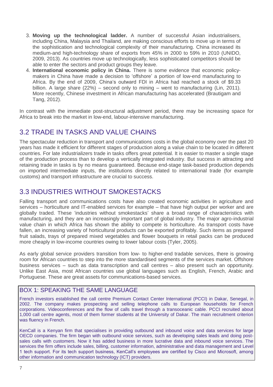- 3. **Moving up the technological ladder.** A number of successful Asian industrialisers, including China, Malaysia and Thailand, are making conscious efforts to move up in terms of the sophistication and technological complexity of their manufacturing. China increased its medium-and high-technology share of exports from 45% in 2000 to 59% in 2010 (UNIDO, 2009, 2013). As countries move up technologically, less sophisticated competitors should be able to enter the sectors and product groups they leave.
- 4. **International economic policy in China.** There is some evidence that economic policymakers in China have made a decision to 'offshore' a portion of low-end manufacturing to Africa. By the end of 2009, China's outward FDI in Africa had reached a stock of \$9.33 billion. A large share (22%) – second only to mining – went to manufacturing (Lin, 2011). More recently, Chinese investment in African manufacturing has accelerated (Brautigam and Tang, 2012).

In contrast with the immediate post-structural adjustment period, there may be increasing space for Africa to break into the market in low-end, labour-intensive manufacturing.

### 3.2 TRADE IN TASKS AND VALUE CHAINS

The spectacular reduction in transport and communications costs in the global economy over the past 20 years has made it efficient for different stages of production along a value chain to be located in different countries. For late industrializers trade in tasks offers great potential. It is easier to master a single stage of the production process than to develop a vertically integrated industry. But success in attracting and retaining trade in tasks is by no means guaranteed. Because end-stage task-based production depends on imported intermediate inputs, the institutions directly related to international trade (for example customs) and transport infrastructure are crucial to success.

#### 3.3 INDUSTRIES WITHOUT SMOKESTACKS

Falling transport and communications costs have also created economic activities in agriculture and services – horticulture and IT-enabled services for example – that have high output per worker and are globally traded. These 'industries without smokestacks' share a broad range of characteristics with manufacturing, and they are an increasingly important part of global industry. The major agro-industrial value chain in which Africa has shown the ability to compete is horticulture. As transport costs have fallen, an increasing variety of horticultural products can be exported profitably. Such items as prepared fruit salads, trays of prepared mixed vegetables and flower bouquets in retail packs can be produced more cheaply in low-income countries owing to lower labour costs (Tyler, 2005).

As early global service providers transition from low- to higher-end tradable services, there is growing room for African countries to step into the more standardised segments of the services market. Offshore business services – such as data transcription and call centres – also present such an opportunity. Unlike East Asia, most African countries use global languages such as English, French, Arabic and Portuguese. These are great assets for communications-based services.

#### BOX 1: SPEAKING THE SAME LANGUAGE

French investors established the call centre Premium Contact Center International (PCCI) in Dakar, Senegal, in 2002. The company makes prospecting and selling telephone calls to European households for French corporations. Videoconferences and the flow of calls travel through a transoceanic cable. PCCI recruited about 1,000 call centre agents, most of them former students at the University of Dakar. The main recruitment criterion was fluency in French.

KenCall is a Kenyan firm that specialises in providing outbound and inbound voice and data services for large OECD companies. The firm began with outbound voice services, such as developing sales leads and doing postsales calls with customers. Now it has added business in more lucrative data and inbound voice services. The services the firm offers include sales, billing, customer information, administrative and data management and Level 1 tech support. For its tech support business, KenCall's employees are certified by Cisco and Microsoft, among other information and communication technology (ICT) providers.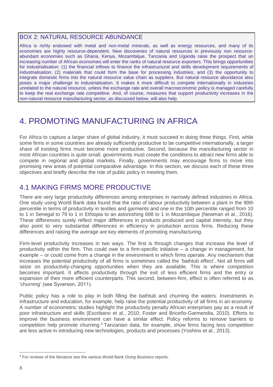#### BOX 2: NATURAL RESOURCE ABUNDANCE

Africa is richly endowed with metal and non-metal minerals, as well as energy resources, and many of its economies are highly resource-dependent. New discoveries of natural resources in previously non resourceabundant economies such as Ghana, Kenya, Mozambique, Tanzania and Uganda raise the prospect that an increasing number of African economies will enter the ranks of natural resource exporters. This brings opportunities for industrialisation: (1) the financial inflows to finance the infrastructural and skills development requirements of industrialisation; (2) materials that could form the base for processing industries; and (3) the opportunity to integrate domestic firms into the natural resource value chain as suppliers. But natural resource abundance also poses a major challenge to industrialisation. It makes it more difficult to compete internationally in industries unrelated to the natural resource, unless the exchange rate and overall macroeconomic policy is managed carefully to keep the real exchange rate competitive. And, of course, measures that support productivity increases in the non-natural resource manufacturing sector, as discussed below, will also help.

## 4. PROMOTING MANUFACTURING IN AFRICA

For Africa to capture a larger share of global industry, it must succeed in doing three things. First, while some firms in some countries are already sufficiently productive to be competitive internationally, a larger share of existing firms must become more productive. Second, because the manufacturing sector in most African countries is quite small, governments must create the conditions to attract new firms able to compete in regional and global markets. Finally, governments may encourage firms to move into promising new areas of potential comparative advantage. In this section, we discuss each of these three objectives and briefly describe the role of public policy in meeting them.

#### 4.1 MAKING FIRMS MORE PRODUCTIVE

There are very large productivity differences among enterprises in narrowly defined industries in Africa. One study using World Bank data found that the ratio of labour productivity between a plant in the 90th percentile in terms of productivity in textiles and garments and one in the 10th percentile ranged from 10 to 1 in Senegal to 79 to 1 in Ethiopia to an astonishing 698 to 1 in Mozambique (Newman et al., 2016). These differences surely reflect major differences in products produced and capital intensity, but they also point to very substantial differences in efficiency in production across firms. Reducing these differences and raising the average are key elements of promoting manufacturing.

Firm-level productivity increases in two ways. The first is through changes that increase the level of productivity within the firm. This could owe to a firm-specific initiative – a change in management, for example – or could come from a change in the environment in which firms operate. Any mechanism that increases the potential productivity of all firms is sometimes called the 'bathtub effect'. Not all firms will seize on productivity-changing opportunities when they are available. This is where competition becomes important. It affects productivity through the exit of less efficient firms and the entry or expansion of their more efficient counterparts. This second, between-firm, effect is often referred to as 'churning' (see Syverson, 2011).

Public policy has a role to play in both filling the bathtub and churning the waters. Investments in infrastructure and education, for example, help raise the potential productivity of all firms in an economy. A number of econometric studies highlight the productivity penalty African enterprises pay as a result of poor infrastructure and skills (Escribano et al., 2010; Foster and Briceño-Garmendia, 2010). Efforts to improve the business environment can have a similar effect. Policy reforms to remove barriers to competition help promote churning. <sup>4</sup> Tanzanian data, for example, show firms facing less competition are less active in introducing new technologies, products and processes (Yoshino et al., 2013).

 $\overline{a}$ <sup>4</sup> For reviews of the literature see the various World Bank *Doing Business* reports.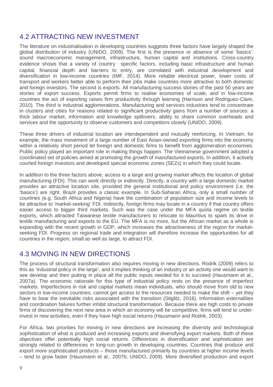#### 4.2 ATTRACTING NEW INVESTMENT

The literature on industrialisation in developing countries suggests three factors have largely shaped the global distribution of industry (UNIDO, 2009). The first is the presence or absence of some 'basics': sound macroeconomic management, infrastructure, human capital and institutions. Cross-country evidence shows that a variety of country - specific factors, including basic infrastructure and human capital, financial depth and barriers to entry, are correlated with industrial development and diversification in low-income countries (IMF, 2014). More reliable electrical power, lower costs of transport and workers better able to perform their jobs make countries more attractive to both domestic and foreign investors. The second is exports. All manufacturing success stories of the past 50 years are stories of export success. Exports permit firms to realise economies of scale, and in low-income countries the act of exporting raises firm productivity through learning (Harrison and Rodriguez-Clare, 2010). The third is industrial agglomerations. Manufacturing and services industries tend to concentrate in clusters and cities for reasons related to significant productivity gains from a number of sources: a thick labour market, information and knowledge spillovers, ability to share common overheads and services and the opportunity to observe customers and competitors closely (UNIDO, 2009).

These three drivers of industrial location are interdependent and mutually reinforcing. In Vietnam, for example, the mass movement of a large number of East Asian-owned exporting firms into the economy within a relatively short period let foreign and domestic firms to benefit from agglomeration economies. Public policy played an important role in making things happen. The Vietnamese government adopted a coordinated set of policies aimed at promoting the growth of manufactured exports. In addition, it actively courted foreign investors and developed special economic zones (SEZs) in which they could locate.

In addition to the three factors above, access to a large and growing market affects the location of global manufacturing (FDI). This can work directly or indirectly. Directly, a country with a large domestic market provides an attractive location site, provided the general institutional and policy environment (i.e. the 'basics') are right. Brazil provides a classic example. In Sub-Saharan Africa, only a small number of countries (e.g. South Africa and Nigeria) have the combination of population size and income levels to be attractive to 'market-seeking' FDI. Indirectly, foreign firms may locate in a country if that country offers easier access to bigger third markets. Such was the case under the MFA quota regime on textile exports, which attracted Taiwanese textile manufacturers to relocate to Mauritius to spark its drive in textile manufacturing and exports to the EU. The MFA is no more, but the African market as a whole is expanding with the recent growth in GDP, which increases the attractiveness of the region for marketseeking FDI. Progress on regional trade and integration will therefore increase the opportunities for all countries in the region, small as well as large, to attract FDI.

#### 4.3 MOVING IN NEW DIRECTIONS

The process of structural transformation also requires moving in new directions. Rodrik (2009) refers to this as 'industrial policy in the large', and it implies thinking of an industry or an activity one would want to see develop and then putting in place all the public inputs needed for it to succeed (Hausmann et al., 2007a). The economic rationale for this type of industrial policy rests on the presence of imperfect markets. Imperfections in risk and capital markets mean individuals, who should move from old to new sectors in low-income countries, cannot get access to the resources needed to make the shift – yet they have to bear the inevitable risks associated with the transition (Stiglitz, 2016). Information externalities and coordination failures further inhibit structural transformation. Because there are high costs to private firms of discovering the next new area in which an economy will be competitive, firms will tend to underinvest in new activities, even if they have high social returns (Hausmann and Rodrik, 2003).

For Africa, two priorities for moving in new directions are increasing the diversity and technological sophistication of what is produced and increasing exports and diversifying export markets. Both of these objectives offer potentially high social returns. Differences in diversification and sophistication are strongly related to differences in long-run growth in developing countries. Countries that produce and export more sophisticated products – those manufactured primarily by countries at higher income levels – tend to grow faster (Hausmann et al., 2007b; UNIDO, 2009). More diversified production and export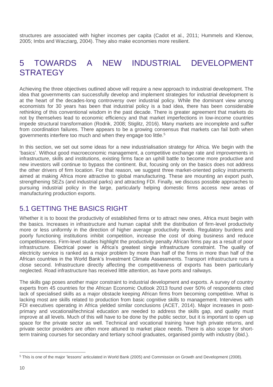structures are associated with higher incomes per capita (Cadot et al., 2011; Hummels and Klenow, 2005; Imbs and Wacziarg, 2004). They also make economies more resilient.

## 5 TOWARDS A NEW INDUSTRIAL DEVELOPMENT **STRATEGY**

Achieving the three objectives outlined above will require a new approach to industrial development. The idea that governments can successfully develop and implement strategies for industrial development is at the heart of the decades-long controversy over industrial policy. While the dominant view among economists for 30 years has been that industrial policy is a bad idea, there has been considerable rethinking of this conventional wisdom in the past decade. There is greater agreement that markets do not by themselves lead to economic efficiency and that market imperfections in low-income countries impede structural transformation (Rodrik, 2008; Stiglitz, 2016). Many markets are incomplete and suffer from coordination failures. There appears to be a growing consensus that markets can fail both when governments interfere too much and when they engage too little.<sup>5</sup>

In this section, we set out some ideas for a new industrialisation strategy for Africa. We begin with the 'basics'. Without good macroeconomic management, a competitive exchange rate and improvements in infrastructure, skills and institutions, existing firms face an uphill battle to become more productive and new investors will continue to bypass the continent. But, focusing only on the basics does not address the other drivers of firm location. For that reason, we suggest three market-oriented policy instruments aimed at making Africa more attractive to global manufacturing. These are mounting an export push, strengthening SEZs (and industrial parks) and attracting FDI. Finally, we discuss possible approaches to pursuing industrial policy in the large, particularly helping domestic firms access new areas of manufacturing production exports.

#### 5.1 GETTING THE BASICS RIGHT

Whether it is to boost the productivity of established firms or to attract new ones, Africa must begin with the basics. Increases in infrastructure and human capital shift the distribution of firm-level productivity more or less uniformly in the direction of higher average productivity levels. Regulatory burdens and poorly functioning institutions inhibit competition, increase the cost of doing business and reduce competitiveness. Firm-level studies highlight the productivity penalty African firms pay as a result of poor infrastructure. Electrical power is Africa's greatest single infrastructure constraint. The quality of electricity service is ranked as a major problem by more than half of the firms in more than half of the African countries in the World Bank's Investment Climate Assessments. Transport infrastructure runs a close second. Infrastructure directly affecting the competitiveness of exports has been particularly neglected. Road infrastructure has received little attention, as have ports and railways.

The skills gap poses another major constraint to industrial development and exports. A survey of country experts from 45 countries for the African Economic Outlook 2013 found over 50% of respondents cited lack of specialised skills as a major obstacle keeping African firms from becoming competitive. What is lacking most are skills related to production from basic cognitive skills to management. Interviews with FDI executives operating in Africa yielded similar conclusions (ACET, 2014). Major increases in postprimary and vocational/technical education are needed to address the skills gap, and quality must improve at all levels. Much of this will have to be done by the public sector, but it is important to open up space for the private sector as well. Technical and vocational training have high private returns, and private sector providers are often more attuned to market place needs. There is also scope for shortterm training courses for secondary and tertiary school graduates, organised jointly with industry (ibid.).

 $\overline{a}$ <sup>5</sup> This is one of the major 'lessons' articulated in World Bank (2005) and Commission on Growth and Development (2008).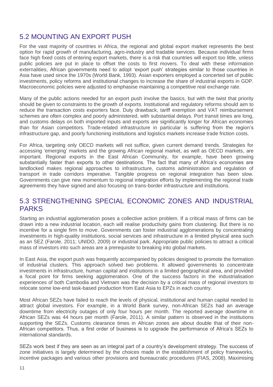#### 5.2 MOUNTING AN EXPORT PUSH

For the vast majority of countries in Africa, the regional and global export market represents the best option for rapid growth of manufacturing, agro-industry and tradable services. Because individual firms face high fixed costs of entering export markets, there is a risk that countries will export too little, unless public policies are put in place to offset the costs to first movers. To deal with these information externalities, African governments need to adopt 'export push' strategies similar to those countries in Asia have used since the 1970s (World Bank, 1993). Asian exporters employed a concerted set of public investments, policy reforms and institutional changes to increase the share of industrial exports in GDP. Macroeconomic policies were adjusted to emphasise maintaining a competitive real exchange rate.

Many of the public actions needed for an export push involve the basics, but with the twist that priority should be given to constraints to the growth of exports. Institutional and regulatory reforms should aim to reduce the transaction costs exporters face. Duty drawback, tariff exemption and VAT reimbursement schemes are often complex and poorly administered, with substantial delays. Port transit times are long, and customs delays on both imported inputs and exports are significantly longer for African economies than for Asian competitors. Trade-related infrastructure in particular is suffering from the region's infrastructure gap, and poorly functioning institutions and logistics markets increase trade friction costs.

For Africa, targeting only OECD markets will not suffice, given current demand trends. Strategies for accessing 'emerging' markets and the growing African regional market, as well as OECD markets, are important. Regional exports in the East African Community, for example, have been growing substantially faster than exports to other destinations. The fact that many of Africa's economies are landlocked makes regional approaches to infrastructure, customs administration and regulation of transport in trade corridors imperative. Tangible progress on regional integration has been slow. Governments can give new momentum to regional integration efforts by implementing the regional trade agreements they have signed and also focusing on trans-border infrastructure and institutions.

#### 5.3 STRENGTHENING SPECIAL ECONOMIC ZONES AND INDUSTRIAL PARKS

Starting an industrial agglomeration poses a collective action problem. If a critical mass of firms can be drawn into a new industrial location, each will realise productivity gains from clustering. But there is no incentive for a single firm to move. Governments can foster industrial agglomerations by concentrating investments in high-quality institutions, social services and infrastructure in a limited physical area such as an SEZ (Farole, 2011; UNIDO, 2009) or industrial park. Appropriate public policies to attract a critical mass of investors into such areas are a prerequisite to breaking into global markets.

In East Asia, the export push was frequently accompanied by policies designed to promote the formation of industrial clusters. This approach solved two problems. It allowed governments to concentrate investments in infrastructure, human capital and institutions in a limited geographical area, and provided a focal point for firms seeking agglomeration. One of the success factors in the industrialisation experiences of both Cambodia and Vietnam was the decision by a critical mass of regional investors to relocate some low-end task-based production from East Asia to EPZs in each country.

Most African SEZs have failed to reach the levels of physical, institutional and human capital needed to attract global investors. For example, in a World Bank survey, non-African SEZs had an average downtime from electricity outages of only four hours per month. The reported average downtime in African SEZs was 44 hours per month (Farole, 2011). A similar pattern is observed in the institutions supporting the SEZs. Customs clearance times in African zones are about double that of their non-African competitors. Thus, a first order of business is to upgrade the performance of Africa's SEZs to international standards.

SEZs work best if they are seen as an integral part of a country's development strategy. The success of zone initiatives is largely determined by the choices made in the establishment of policy frameworks, incentive packages and various other provisions and bureaucratic procedures (FIAS, 2008). Maximising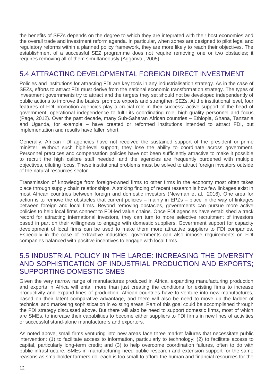the benefits of SEZs depends on the degree to which they are integrated with their host economies and the overall trade and investment reform agenda. In particular, when zones are designed to pilot legal and regulatory reforms within a planned policy framework, they are more likely to reach their objectives. The establishment of a successful SEZ programme does not require removing one or two obstacles; it requires removing all of them simultaneously (Aggarwal, 2005).

#### 5.4 ATTRACTING DEVELOPMENTAL FOREIGN DIRECT INVESTMENT

Policies and institutions for attracting FDI are key tools in any industrialisation strategy. As in the case of SEZs, efforts to attract FDI must derive from the national economic transformation strategy. The types of investment governments try to attract and the targets they set should not be developed independently of public actions to improve the basics, promote exports and strengthen SEZs. At the institutional level, four features of FDI promotion agencies play a crucial role in their success: active support of the head of government, operational independence to fulfil its coordinating role, high-quality personnel and focus (Page, 2012). Over the past decade, many Sub-Saharan African countries – Ethiopia, Ghana, Tanzania and Uganda, for example – have created or reformed institutions intended to attract FDI, but implementation and results have fallen short.

Generally, African FDI agencies have not received the sustained support of the president or prime minister. Without such high-level support, they lose the ability to coordinate across government. Personnel practices and compensation policies have not been sufficiently attractive to make it possible to recruit the high calibre staff needed, and the agencies are frequently burdened with multiple objectives, diluting focus. These institutional problems must be solved to attract foreign investors outside of the natural resources sector.

Transmission of knowledge from foreign-owned firms to other firms in the economy most often takes place through supply chain relationships. A striking finding of recent research is how few linkages exist in most African countries between foreign and domestic investors (Newman et al., 2016). One area for action is to remove the obstacles that current policies – mainly in EPZs – place in the way of linkages between foreign and local firms. Beyond removing obstacles, governments can pursue more active policies to help local firms connect to FDI-led value chains. Once FDI agencies have established a track record for attracting international investors, they can turn to more selective recruitment of investors based in part on their willingness to engage with domestic suppliers. Government support for capacity development of local firms can be used to make them more attractive suppliers to FDI companies. Especially in the case of extractive industries, governments can also impose requirements on FDI companies balanced with positive incentives to engage with local firms.

#### 5.5 INDUSTRIAL POLICY IN THE LARGE: INCREASING THE DIVERSITY AND SOPHISTICATION OF INDUSTRIAL PRODUCTION AND EXPORTS; SUPPORTING DOMESTIC SMES

Given the very narrow range of manufactures produced in Africa, expanding manufacturing production and exports in Africa will entail more than just creating the conditions for existing firms to increase productivity and expand lines of production. African countries have to venture into new manufactures, based on their latent comparative advantage, and there will also be need to move up the ladder of technical and marketing sophistication in existing areas. Part of this goal could be accomplished through the FDI strategy discussed above. But there will also be need to support domestic firms, most of which are SMEs, to increase their capabilities to become either suppliers to FDI firms in new lines of activities or successful stand-alone manufacturers and exporters.

As noted above, small firms venturing into new areas face three market failures that necessitate public intervention: (1) to facilitate access to information, particularly to technology; (2) to facilitate access to capital, particularly long-term credit; and (3) to help overcome coordination failures, often to do with public infrastructure. SMEs in manufacturing need public research and extension support for the same reasons as smallholder farmers do: each is too small to afford the human and financial resources for the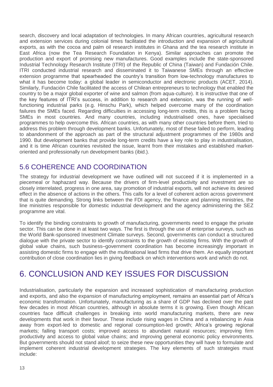search, discovery and local adaptation of technologies. In many African countries, agricultural research and extension services during colonial times facilitated the introduction and expansion of agricultural exports, as with the cocoa and palm oil research institutes in Ghana and the tea research institute in East Africa (now the Tea Research Foundation in Kenya). Similar approaches can promote the production and export of promising new manufactures. Good examples include the state-sponsored Industrial Technology Research Institute (ITRI) of the Republic of China (Taiwan) and Fundación Chile. ITRI conducted industrial research and disseminated it to Taiwanese SMEs through an effective extension programme that spearheaded the country's transition from low-technology manufactures to what it has become today: a global leader in semiconductor and electronic products (ACET, 2014). Similarly, Fundación Chile facilitated the access of Chilean entrepreneurs to technology that enabled the country to be a major global exporter of wine and salmon (from aqua-culture). It is instructive that one of the key features of ITRI's success, in addition to research and extension, was the running of wellfunctioning industrial parks (e.g. Hinschu Park), which helped overcome many of the coordination failures the SMEs faced. Regarding difficulties in accessing long-term credits, this is a problem facing SMEs in most countries. And many countries, including industrialised ones, have specialised programmes to help overcome this. African countries, as with many other countries before them, tried to address this problem through development banks. Unfortunately, most of these failed to perform, leading to abandonment of the approach as part of the structural adjustment programmes of the 1980s and 1990. But development banks that provide long-term credits have a key role to play in industrialisation, and it is time African countries revisited the issue, learnt from their mistakes and established marketoriented and professionally run development banks (ibid.).

#### 5.6 COHERENCE AND COORDINATION

The strategy for industrial development we have outlined will not succeed if it is implemented in a piecemeal or haphazard way. Because the drivers of firm-level productivity and investment are so closely interrelated, progress in one area, say promotion of industrial exports, will not achieve its desired effect in the absence of actions in the others. This calls for a level of coherent action across government that is quite demanding. Strong links between the FDI agency, the finance and planning ministries, the line ministries responsible for domestic industrial development and the agency administering the SEZ programme are vital.

To identify the binding constraints to growth of manufacturing, governments need to engage the private sector. This can be done in at least two ways. The first is through the use of enterprise surveys, such as the World Bank-sponsored Investment Climate surveys. Second, governments can conduct a structured dialogue with the private sector to identify constraints to the growth of existing firms. With the growth of global value chains, such business–government coordination has become increasingly important in assisting domestic firms to engage with the multinational lead firms that drive them. An equally important contribution of close coordination lies in giving feedback on which interventions work and which do not.

## 6. CONCLUSION AND KEY ISSUES FOR DISCUSSION

Industrialisation, particularly the expansion and increased sophistication of manufacturing production and exports, and also the expansion of manufacturing employment, remains an essential part of Africa's economic transformation. Unfortunately, manufacturing as a share of GDP has declined over the past few decades in most African countries, although in absolute terms it is growing. Even though African countries face difficult challenges in breaking into world manufacturing markets, there are new developments that work in their favour. These include rising wages in China and a rebalancing in Asia away from export-led to domestic and regional consumption-led growth; Africa's growing regional markets; falling transport costs; improved access to abundant natural resources; improving firm productivity and access to global value chains; and improving general economic policy environments. But governments should not stand aloof; to seize these new opportunities they will have to formulate and implement coherent industrial development strategies. The key elements of such strategies must include: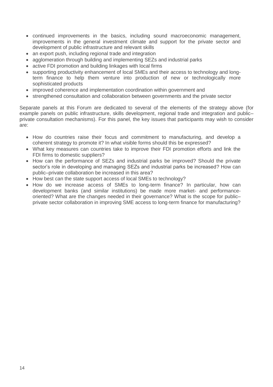- continued improvements in the basics, including sound macroeconomic management, improvements in the general investment climate and support for the private sector and development of public infrastructure and relevant skills
- an export push, including regional trade and integration
- agglomeration through building and implementing SEZs and industrial parks
- active FDI promotion and building linkages with local firms
- supporting productivity enhancement of local SMEs and their access to technology and longterm finance to help them venture into production of new or technologically more sophisticated products
- improved coherence and implementation coordination within government and
- strengthened consultation and collaboration between governments and the private sector

Separate panels at this Forum are dedicated to several of the elements of the strategy above (for example panels on public infrastructure, skills development, regional trade and integration and public– private consultation mechanisms). For this panel, the key issues that participants may wish to consider are:

- How do countries raise their focus and commitment to manufacturing, and develop a coherent strategy to promote it? In what visible forms should this be expressed?
- What key measures can countries take to improve their FDI promotion efforts and link the FDI firms to domestic suppliers?
- How can the performance of SEZs and industrial parks be improved? Should the private sector's role in developing and managing SEZs and industrial parks be increased? How can public–private collaboration be increased in this area?
- How best can the state support access of local SMEs to technology?
- How do we increase access of SMEs to long-term finance? In particular, how can development banks (and similar institutions) be made more market- and performanceoriented? What are the changes needed in their governance? What is the scope for public– private sector collaboration in improving SME access to long-term finance for manufacturing?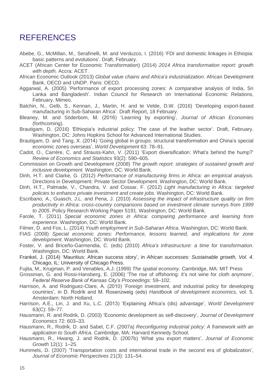### REFERENCES

- Abebe, G., McMillan, M., Serafinelli, M. and Verduzco, I. (2016) 'FDI and domestic linkages in Ethiopia: basic patterns and evolutions'. Draft, February.
- ACET (African Center for Economic Transformation) (2014) *2014 Africa transformation report: growth with depth.* Accra: ACET.
- African Economic Outlook (2013) *Global value chains and Africa's industrialization*. African Development Bank, OECD and UNDP. Paris: OECD.
- Aggarwal, A. (2005) 'Performance of export processing zones: A comparative analysis of India, Sri Lanka and Bangladesh'. Indian Council for Research on International Economic Relations, February. Mimeo.
- Balchin, N., Gelb, S., Kennan, J., Martin, H. and te Velde, D.W. (2016) 'Developing export-based manufacturing in Sub-Saharan Africa'. Draft Report, 18 February.
- Bleaney, M. and Söderbom, M. (2016) 'Learning by exporting', *Journal of African Economies* (forthcoming).
- Brautigam, D. (2016) 'Ethiopia's industrial policy: The case of the leather sector'. Draft, February. Washington, DC: Johns Hopkins School for Advanced International Studies.
- Brautigam, D. and Tang, X. (2014) 'Going global in groups: structural transformation and China's special economic zones overseas', *World Development* 63: 78–91.
- Cadot, O., Carrère, C. and Strauss-Kahn, V. (2011) 'Export diversification: What's behind the hump?' *Review of Economics and Statistics* 93(2): 590–605.
- Commission on Growth and Development (2008) *The growth report: strategies of sustained growth and inclusive development.* Washington, DC: World Bank.
- Dinh, H.T. and Clarke, G. (2012) *Performance of manufacturing firms in Africa: an empirical analysis*. Directions in Development: Private Sector Development. Washington, DC: World Bank.
- Dinh, H.T., Palmade, V., Chandra, V. and Cossar, F. (2012) *Light manufacturing in Africa: targeted policies to enhance private investment and create jobs*. Washington, DC: World Bank.
- Escribano, A., Guasch, J.L. and Pena, J. (2010) *Assessing the impact of infrastructure quality on firm productivity in Africa: cross-country comparisons based on investment climate surveys from 1999 to 2005*. Policy Research Working Paper 5191. Washington, DC: World Bank.
- Farole, T. (2011) *Special economic zones in Africa: comparing performance and learning from experience.* Washington, DC: World Bank.
- Filmer, D. and Fox, L. (2014) *Youth employment in Sub-Saharan Africa*. Washington, DC: World Bank.
- FIAS (2008) *Special economic zones: Performance, lessons learned, and implications for zone development*. Washington, DC: World Bank.
- Foster, V. and Briceño-Garmendia, C. (eds) (2010) *Africa's infrastructure: a time for transformation*. Washington, DC: World Bank.
- Frankel, J. (2014) 'Mauritius: African success story', in *African successes: Sustainable growth, Vol. 4*. Chicago, IL: University of Chicago Press.
- Fujita, M., Krugman, P. and Venables, A.J. (1999) *The spatial economy.* Cambridge, MA: MIT Press
- Grossman, G. and Rossi-Hansberg, E. (2006) 'The rise of offshoring: it's not wine for cloth anymore', *Federal Reserve Bank of Kansas City's Proceedings:* 59–102.
- Harrison, A. and Rodriguez-Clare, A. (2010) 'Foreign investment, and industrial policy for developing countries', in D. Rodrik and M. Rosenzweig (eds) *Handbook of development economics*, vol. 5. Amsterdam: North Holland.
- Harrison, A.E., Lin, J. and Xu, L.C. (2013) 'Explaining Africa's (dis) advantage', *World Development* 63(C): 59–77.
- Hausmann, R. and Rodrik, D. (2003) 'Economic development as self-discovery', *Journal of Development Economics* 72: 603–33.
- Hausmann, R., Rodrik, D. and Sabel, C.F. (2007a) *Reconfiguring industrial policy: A framework with an application to South Africa*. Cambridge, MA: Harvard Kennedy School.
- Hausmann, R., Hwang, J. and Rodrik, D. (2007b) 'What you export matters', *Journal of Economic Growth* 12(1): 1–25.
- Hummels, D. (2007) 'Transportation costs and international trade in the second era of globalization', *Journal of Economic Perspectives* 21(3): 131–54.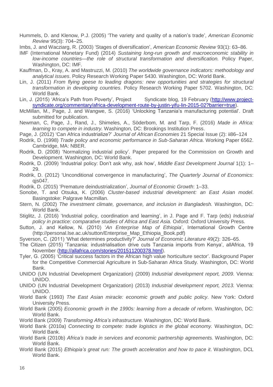Hummels, D. and Klenow, P.J. (2005) 'The variety and quality of a nation's trade', *American Economic Review* 95(3): 704–25.

- IMF (International Monetary Fund) (2014) *Sustaining long-run growth and macroeconomic stability in low-income countries—the role of structural transformation and diversification.* Policy Paper, Washington, DC: IMF.
- Kauffman, D., Kray, A. and Mastruzzi, M. (2010) *The worldwide governance indicators: methodology and analytical issues*. Policy Research Working Paper 5430. Washington, DC: World Bank.
- Lin, J. (2011) *From flying geese to leading dragons: new opportunities and strategies for structural transformation in developing countries*. Policy Research Working Paper 5702. Washington, DC: World Bank.
- Lin, J. (2015) 'Africa's Path from Poverty', Project Syndicate blog, 19 February [\(http://www.project](http://www.project-syndicate.org/commentary/africa-development-route-by-justin-yifu-lin-2015-02?barrier=true)[syndicate.org/commentary/africa-development-route-by-justin-yifu-lin-2015-02?barrier=true\)](http://www.project-syndicate.org/commentary/africa-development-route-by-justin-yifu-lin-2015-02?barrier=true).
- McMillan, M., Page, J. and Wangwe, S. (2016) 'Unlocking Tanzania's manufacturing potential'. Draft submitted for publication.
- Newman, C, Page, J., Rand, J., Shimeles, A., Söderbom, M. and Tarp, F. (2016) *Made in Africa: learning to compete in industry.* Washington, DC: Brookings Institution Press.
- Page, J. (2012) 'Can Africa industrialize?' *Journal of African Economies* 21 Special Issue (2): ii86–124
- Rodrik, D. (1998) *Trade policy and economic performance in Sub-Saharan Africa*. Working Paper 6562. Cambridge, MA: NBER.
- Rodrik, D. (2008) 'Normalizing industrial policy'. Paper prepared for the Commission on Growth and Development. Washington, DC: World Bank.
- Rodrik, D. (2009) 'Industrial policy: Don't ask why, ask how', *Middle East Development Journal* 1(1): 1– 29.
- Rodrik, D. (2012) 'Unconditional convergence in manufacturing', *The Quarterly Journal of Economics*: qjs047.
- Rodrik, D. (2015) 'Premature deindustrialization', *Journal of Economic Growth*: 1–33.
- Sonobe, T. and Otsuka, K. (2006) *Cluster-based industrial development: an East Asian model*. Basingstoke: Palgrave Macmillan.
- Stern, N. (2002) *The investment climate, governance, and inclusion in Bangladesh.* Washington, DC: World Bank.
- Stiglitz, J. (2016) 'Industrial policy, coordination and learning', in J. Page and F. Tarp (eds) *Industrial policy in practice: comparative studies of Africa and East Asia.* Oxford: Oxford University Press.
- Sutton, J. and Kellow, N. (2010) '*An Enterprise Map of Ethiopia*', International Growth Centre (http://personal.lse.ac.uk/sutton/Enterprise\_Map\_Ethiopia\_Book.pdf)
- Syverson, C. (2011) 'What determines productivity?' *Journal of Economic Literature* 49(2): 326–65.
- The Citizen (2015) 'Tanzania: industrialisation drive cuts Tanzania imports from Kenya', allAfrica, 19 November [\(http://allafrica.com/stories/201511200378.html\)](http://allafrica.com/stories/201511200378.html).
- Tyler, G. (2005) 'Critical success factors in the African high value horticulture sector'. Background Paper for the Competitive Commercial Agriculture in Sub-Saharan Africa Study. Washington, DC: World Bank.
- UNIDO (UN Industrial Development Organization) (2009) *Industrial development report, 2009.* Vienna: UNIDO.
- UNIDO (UN Industrial Development Organization) (2013) *Industrial development report, 2013.* Vienna: UNIDO.
- World Bank (1993) *The East Asian miracle: economic growth and public policy*. New York: Oxford University Press.
- World Bank (2005) *Economic growth in the 1990s: learning from a decade of reform.* Washington, DC: World Bank.
- World Bank (2009) *Transforming Africa's infrastructure.* Washington, DC: World Bank.
- World Bank (2010a) *Connecting to compete: trade logistics in the global economy.* Washington, DC: World Bank.
- World Bank (2010b) *Africa's trade in services and economic partnership agreements.* Washington, DC: World Bank.
- World Bank (2015) *Ethiopia's great run: The growth acceleration and how to pace it*. Washington, DCL World Bank.

Imbs, J. and Wacziarg, R. (2003) 'Stages of diversification', *American Economic Review* 93(1): 63–86.